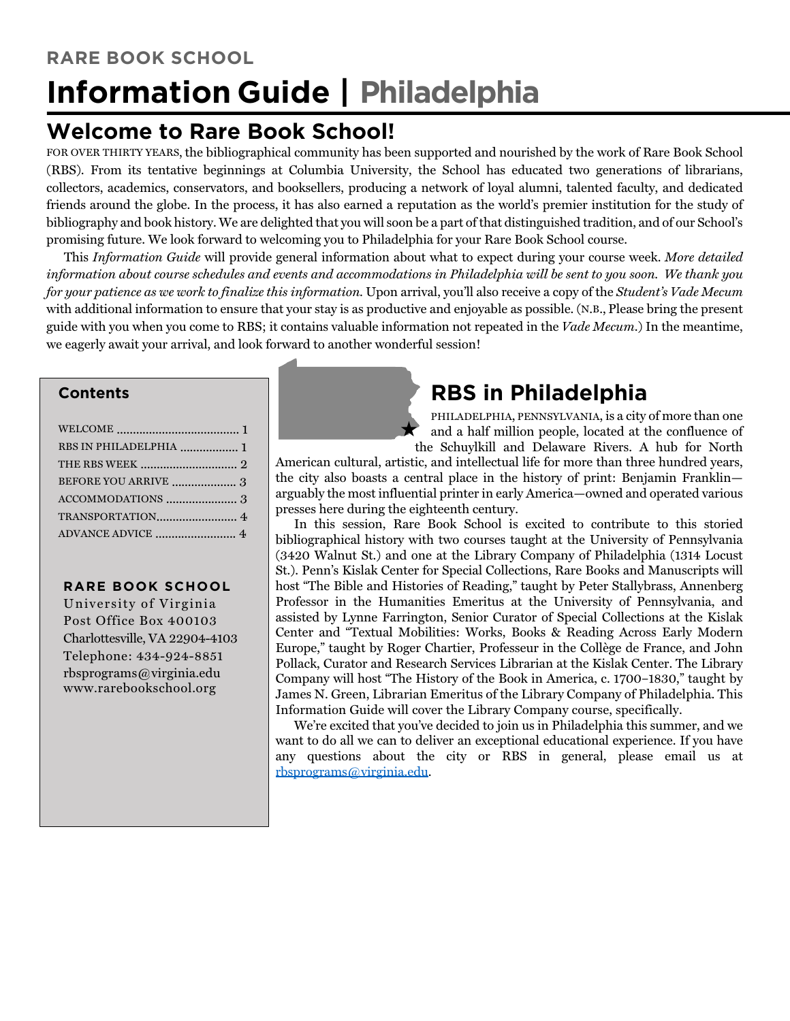## **Welcome to Rare Book School!**

FOR OVER THIRTY YEARS, the bibliographical community has been supported and nourished by the work of Rare Book School (RBS). From its tentative beginnings at Columbia University, the School has educated two generations of librarians, collectors, academics, conservators, and booksellers, producing a network of loyal alumni, talented faculty, and dedicated friends around the globe. In the process, it has also earned a reputation as the world's premier institution for the study of bibliography and book history. We are delighted that you will soon be a part of that distinguished tradition, and of our School's promising future. We look forward to welcoming you to Philadelphia for your Rare Book School course.

This *Information Guide* will provide general information about what to expect during your course week. *More detailed information about course schedules and events and accommodations in Philadelphia will be sent to you soon. We thank you for your patience as we work to finalize this information.* Upon arrival, you'll also receive a copy of the *Student's Vade Mecum* with additional information to ensure that your stay is as productive and enjoyable as possible. (N.B., Please bring the present guide with you when you come to RBS; it contains valuable information not repeated in the *Vade Mecum*.) In the meantime, we eagerly await your arrival, and look forward to another wonderful session!

### **Contents**

| RBS IN PHILADELPHIA  1 |  |
|------------------------|--|
|                        |  |
|                        |  |
|                        |  |
|                        |  |
|                        |  |

#### **RARE BOOK SCHOOL**

University of Virginia Post Office Box 400103 Charlottesville, VA 22904-4103 Telephone: 434-924-8851 rbsprograms@virginia.edu www.rarebookschool.org

# **RBS in Philadelphia**

PHILADELPHIA, PENNSYLVANIA, is a city of more than one and a half million people, located at the confluence of the Schuylkill and Delaware Rivers. A hub for North

American cultural, artistic, and intellectual life for more than three hundred years, the city also boasts a central place in the history of print: Benjamin Franklin arguably the most influential printer in early America—owned and operated various presses here during the eighteenth century.

In this session, Rare Book School is excited to contribute to this storied bibliographical history with two courses taught at the University of Pennsylvania (3420 Walnut St.) and one at the Library Company of Philadelphia (1314 Locust St.). Penn's Kislak Center for Special Collections, Rare Books and Manuscripts will host "The Bible and Histories of Reading," taught by Peter Stallybrass, Annenberg Professor in the Humanities Emeritus at the University of Pennsylvania, and assisted by Lynne Farrington, Senior Curator of Special Collections at the Kislak Center and "Textual Mobilities: Works, Books & Reading Across Early Modern Europe," taught by Roger Chartier, Professeur in the Collège de France, and John Pollack, Curator and Research Services Librarian at the Kislak Center. The Library Company will host "The History of the Book in America, c. 1700–1830," taught by James N. Green, Librarian Emeritus of the Library Company of Philadelphia. This Information Guide will cover the Library Company course, specifically.

We're excited that you've decided to join us in Philadelphia this summer, and we want to do all we can to deliver an exceptional educational experience. If you have any questions about the city or RBS in general, please email us at rbsprograms@virginia.edu.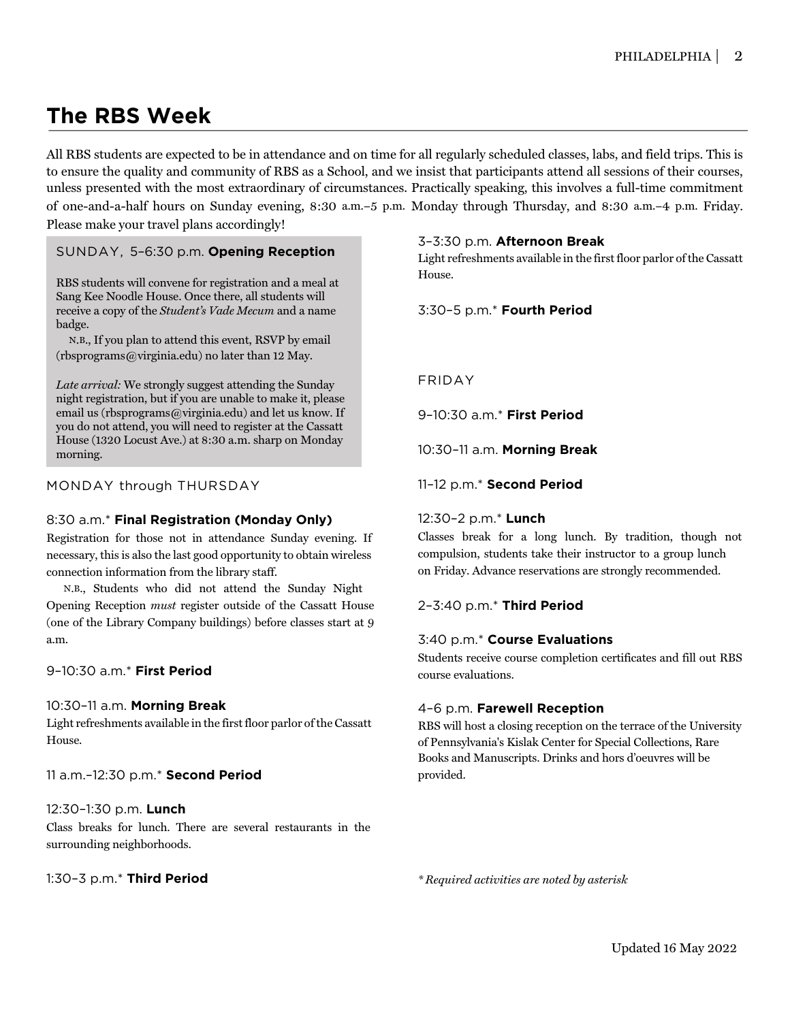## **The RBS Week**

All RBS students are expected to be in attendance and on time for all regularly scheduled classes, labs, and field trips. This is to ensure the quality and community of RBS as a School, and we insist that participants attend all sessions of their courses, unless presented with the most extraordinary of circumstances. Practically speaking, this involves a full-time commitment of one-and-a-half hours on Sunday evening, 8:30 a.m.–5 p.m. Monday through Thursday, and 8:30 a.m.–4 p.m. Friday. Please make your travel plans accordingly!

#### SUNDAY, 5–6:30 p.m. **Opening Reception**

RBS students will convene for registration and a meal at [Sang Kee Noodle House](http://sangkeenoodlehouse.com/). Once there, all students will receive a copy of the *Student's Vade Mecum* and a name badge.

N.B., If you plan to attend this event, RSVP by email (rbsprograms@virginia.edu) no later than 12 May.

*Late arrival:* We strongly suggest attending the Sunday night registration, but if you are unable to make it, please email us (rbsprograms@virginia.edu) and let us know. If you do not attend, you will need to register at the Cassatt House (1320 Locust Ave.) at 8:30 a.m. sharp on Monday morning.

#### MONDAY through THURSDAY

#### 8:30 a.m.\* **Final Registration (Monday Only)**

Registration for those not in attendance Sunday evening. If necessary, this is also the last good opportunity to obtain wireless connection information from the library staff.

N.B., Students who did not attend the Sunday Night Opening Reception *must* register outside of the Cassatt House (one of the Library Company buildings) before classes start at 9 a.m.

#### 9–10:30 a.m.\* **First Period**

#### 10:30–11 a.m. **Morning Break**

Light refreshments available in the first floor parlor of the Cassatt House.

11 a.m.–12:30 p.m.\* **Second Period** 

#### 12:30–1:30 p.m. **Lunch**

Class breaks for lunch. There are several restaurants in the surrounding neighborhoods.

#### 1:30–3 p.m.\* **Third Period**

#### 3–3:30 p.m. **Afternoon Break**

Light refreshments available in the first floor parlor of the Cassatt House.

3:30–5 p.m.\* **Fourth Period** 

#### FRIDAY

9–10:30 a.m.\* **First Period** 

10:30–11 a.m. **Morning Break** 

11–12 p.m.\* **Second Period** 

#### 12:30–2 p.m.\* **Lunch**

Classes break for a long lunch. By tradition, though not compulsion, students take their instructor to a group lunch on Friday. Advance reservations are strongly recommended.

#### 2–3:40 p.m.\* **Third Period**

#### 3:40 p.m.\* **Course Evaluations**

Students receive course completion certificates and fill out RBS course evaluations.

#### 4–6 p.m. **Farewell Reception**

RBS will host a closing reception on the terrace of the University of Pennsylvania's Kislak Center for Special Collections, Rare Books and Manuscripts. Drinks and hors d'oeuvres will be provided.

*\* Required activities are noted by asterisk*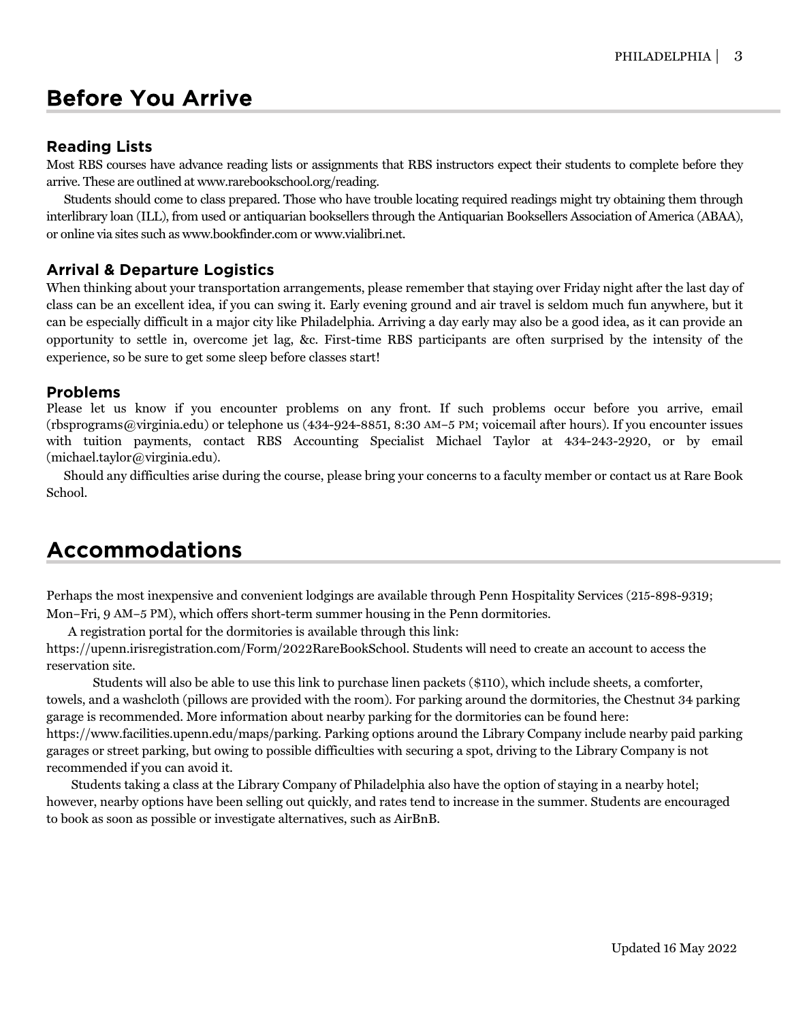## Before You Arrive

### **Reading Lists**

Most RBS courses have advance reading lists or assignments that RBS instructors expect their students to complete before they arrive. These are outlined at www.rarebookschool.org/reading.

Students should come to class prepared. Those who have trouble locating required readings might try obtaining them through interlibrary loan (ILL), from used or antiquarian booksellers through the Antiquarian Booksellers Association of America (ABAA), or online via sites such as www.bookfinder.com or www.vialibri.net.

## **Arrival & Departure Logistics**

When thinking about your transportation arrangements, please remember that staying over Friday night after the last day of class can be an excellent idea, if you can swing it. Early evening ground and air travel is seldom much fun anywhere, but it can be especially difficult in a major city like Philadelphia. Arriving a day early may also be a good idea, as it can provide an opportunity to settle in, overcome jet lag, &c. First-time RBS participants are often surprised by the intensity of the experience, so be sure to get some sleep before classes start!

#### **Problems**

Please let us know if you encounter problems on any front. If such problems occur before you arrive, email (rbsprograms@virginia.edu) or telephone us (434-924-8851, 8:30 AM–5 PM; voicemail after hours). If you encounter issues with tuition payments, contact RBS Accounting Specialist Michael Taylor at 434-243-2920, or by email (michael.taylor@virginia.edu).

Should any difficulties arise during the course, please bring your concerns to a faculty member or contact us at Rare Book School.

## **Accommodations**

Perhaps the most inexpensive and convenient lodgings are available through Penn Hospitality Services (215-898-9319; Mon–Fri, 9 AM–5 PM), which offers short-term summer housing in the Penn dormitories.

A registration portal for the dormitories is available through this link:

https://upenn.irisregistration.com/Form/2022RareBookSchool. Students will need to create an account to access the reservation site.

Students will also be able to use this link to purchase linen packets (\$110), which include sheets, a comforter, towels, and a washcloth (pillows are provided with the room). For parking around the dormitories, the Chestnut 34 parking garage is recommended. More information about nearby parking for the dormitories can be found here: https://www.facilities.upenn.edu/maps/parking. Parking options around the Library Company include nearby paid parking garages or street parking, but owing to possible difficulties with securing a spot, driving to the Library Company is not recommended if you can avoid it.

 Students taking a class at the Library Company of Philadelphia also have the option of staying in a nearby hotel; however, nearby options have been selling out quickly, and rates tend to increase in the summer. Students are encouraged to book as soon as possible or investigate alternatives, such as AirBnB.